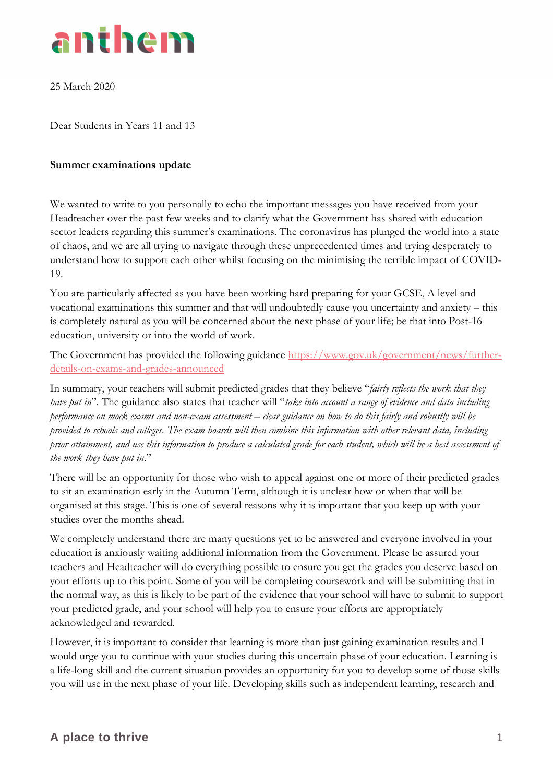

25 March 2020

Dear Students in Years 11 and 13

## **Summer examinations update**

We wanted to write to you personally to echo the important messages you have received from your Headteacher over the past few weeks and to clarify what the Government has shared with education sector leaders regarding this summer's examinations. The coronavirus has plunged the world into a state of chaos, and we are all trying to navigate through these unprecedented times and trying desperately to understand how to support each other whilst focusing on the minimising the terrible impact of COVID-19.

You are particularly affected as you have been working hard preparing for your GCSE, A level and vocational examinations this summer and that will undoubtedly cause you uncertainty and anxiety – this is completely natural as you will be concerned about the next phase of your life; be that into Post-16 education, university or into the world of work.

The Government has provided the following guidance [https://www.gov.uk/government/news/further](https://www.gov.uk/government/news/further-details-on-exams-and-grades-announced)[details-on-exams-and-grades-announced](https://www.gov.uk/government/news/further-details-on-exams-and-grades-announced)

In summary, your teachers will submit predicted grades that they believe "*fairly reflects the work that they have put in*". The guidance also states that teacher will "*take into account a range of evidence and data including performance on mock exams and non-exam assessment – clear guidance on how to do this fairly and robustly will be provided to schools and colleges. The exam boards will then combine this information with other relevant data, including prior attainment, and use this information to produce a calculated grade for each student, which will be a best assessment of the work they have put in*."

There will be an opportunity for those who wish to appeal against one or more of their predicted grades to sit an examination early in the Autumn Term, although it is unclear how or when that will be organised at this stage. This is one of several reasons why it is important that you keep up with your studies over the months ahead.

We completely understand there are many questions yet to be answered and everyone involved in your education is anxiously waiting additional information from the Government. Please be assured your teachers and Headteacher will do everything possible to ensure you get the grades you deserve based on your efforts up to this point. Some of you will be completing coursework and will be submitting that in the normal way, as this is likely to be part of the evidence that your school will have to submit to support your predicted grade, and your school will help you to ensure your efforts are appropriately acknowledged and rewarded.

However, it is important to consider that learning is more than just gaining examination results and I would urge you to continue with your studies during this uncertain phase of your education. Learning is a life-long skill and the current situation provides an opportunity for you to develop some of those skills you will use in the next phase of your life. Developing skills such as independent learning, research and